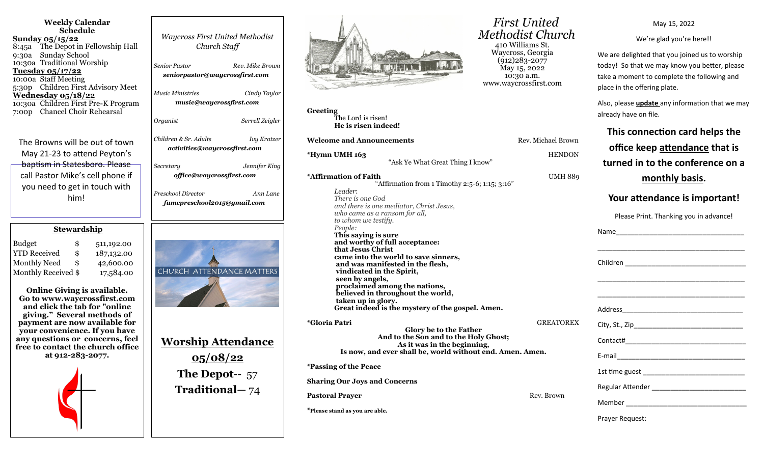| <b>Waycross First United Methodist</b><br>Church Staff<br>Senior Pastor<br>Rev. Mike Brown<br>seniorpastor@waycrossfirst.com<br><b>Music Ministries</b><br>Cindy Taylor<br>music@waycrossfirst.com<br>Organist<br>Serrell Zeigler |
|-----------------------------------------------------------------------------------------------------------------------------------------------------------------------------------------------------------------------------------|
| Children & Sr. Adults<br><b>Ivy Kratzer</b><br>activities@waycrossfirst.com<br>Secretary<br>Jennifer King<br>office@waycrossfirst.com<br>Preschool Director<br>Ann Lane<br>fumcpreschool2015@gmail.com                            |
|                                                                                                                                                                                                                                   |
| CHURCH ATTENDANCE MATTERS<br><u>Worship Attendance</u><br>05/08/22<br>The Depot-- $57$<br><b>Traditional</b> -74                                                                                                                  |
|                                                                                                                                                                                                                                   |



**Greeting** The Lord is risen! **He is risen indeed!**

**Welcome and Announcements Rev. Michael Brown Brown Rev. Michael Brown Brown Brown Rev. Michael Brown Brown Brown Brown Brown Brown Brown Brown Brown Brown Brown Brown Brown Brown Brown Brown Brown Brown Brown Brown Brow** 

**\*Hymn UMH 163** HENDON HENDON HENDON HENDON HENDON HENDON HENDON HENDON HENDON HENDON HENDON HENDON HENDON HENDON HENDON HENDON HENDON HENDON HENDON HENDON HENDON HENDON HENDON HENDON HENDON HENDON HENDON HENDON HENDON HEN "Ask Ye What Great Thing I know"

**\*Affirmation of Faith UMH 8899 UMH 8899 UMH 8899 UMH 8899 UMH 8899 UMH 8899 UMH 8899 UMH 8899 UMH 8899 UMH 8899 UMH 8899 UMH 8899 UMH 8899 UMH 8899 UMH 8899 UMH 8899 UMH 8899 UMH 8899 UMH 8899 UMH 8899 UMH 8899 UMH 8899**  "Affirmation from 1 Timothy 2:5-6; 1:15; 3:16" *Leader*: *There is one God and there is one mediator, Christ Jesus, who came as a ransom for all, to whom we testify. People:* **This saying is sure and worthy of full acceptance: that Jesus Christ came into the world to save sinners, and was manifested in the flesh, vindicated in the Spirit, seen by angels, proclaimed among the nations, believed in throughout the world, taken up in glory. Great indeed is the mystery of the gospel. Amen.**

**\*Gloria Patri** GREATOREX **Glory be to the Father And to the Son and to the Holy Ghost; As it was in the beginning, Is now, and ever shall be, world without end. Amen. Amen. \*Passing of the Peace**

**Sharing Our Joys and Concerns**

**Pastoral Prayer and Prayer and Prayer and Prayer and Prayer Rev. Brown Rev. Brown Rev. Brown Rev. Brown Rev. Brown Rev. Brown Rev. Brown Rev. Brown Rev. Brown Rev. Brown Rev. Brown Rev. Brown Rev. Brown Rev. Brown Rev. Br** 

**\*Please stand as you are able.**

 *First United Methodist Church* 410 Williams St. Waycross, Georgia (912)283-2077  $\text{Mav}$  15, 2022 10:30 a.m. www.waycrossfirst.com

May 15, 2022

We're glad you're here!!

We are delighted that you joined us to worship today! So that we may know you better, please take a moment to complete the following and place in the offering plate.

Also, please **update** any information that we may already have on file.

**This connection card helps the** 

| el Brown      | office keep attendance that is                                   |
|---------------|------------------------------------------------------------------|
| <b>ENDON</b>  | turned in to the conference on a                                 |
| MH 889        | <u>monthly basis.</u>                                            |
|               | Your attendance is important!                                    |
|               | Please Print. Thanking you in advance!                           |
|               |                                                                  |
|               |                                                                  |
|               | <u> 1989 - Johann John Stone, Amerikaansk politiker (* 1908)</u> |
| <b>ATOREX</b> |                                                                  |
|               |                                                                  |
|               |                                                                  |
|               |                                                                  |
| own           |                                                                  |
|               |                                                                  |
|               | Prayer Request:                                                  |